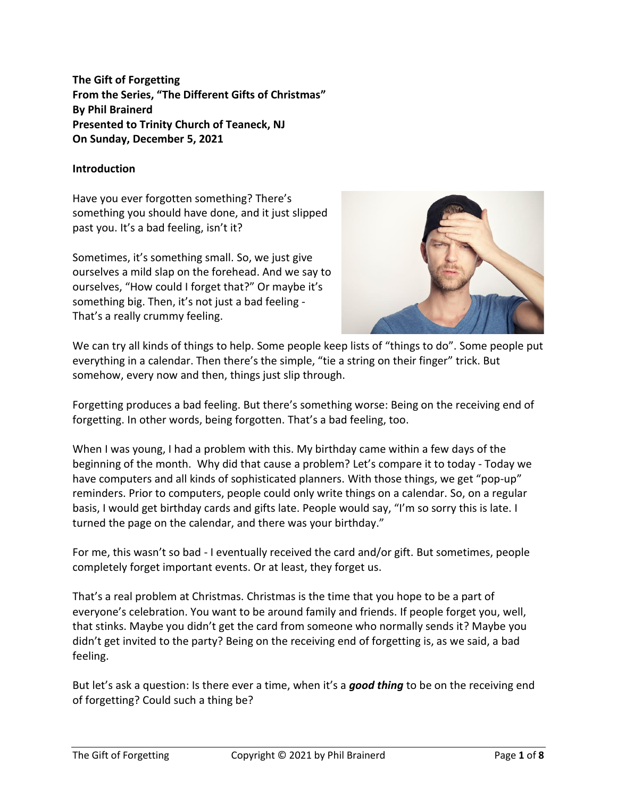**The Gift of Forgetting From the Series, "The Different Gifts of Christmas" By Phil Brainerd Presented to Trinity Church of Teaneck, NJ On Sunday, December 5, 2021**

## **Introduction**

Have you ever forgotten something? There's something you should have done, and it just slipped past you. It's a bad feeling, isn't it?

Sometimes, it's something small. So, we just give ourselves a mild slap on the forehead. And we say to ourselves, "How could I forget that?" Or maybe it's something big. Then, it's not just a bad feeling - That's a really crummy feeling.



We can try all kinds of things to help. Some people keep lists of "things to do". Some people put everything in a calendar. Then there's the simple, "tie a string on their finger" trick. But somehow, every now and then, things just slip through.

Forgetting produces a bad feeling. But there's something worse: Being on the receiving end of forgetting. In other words, being forgotten. That's a bad feeling, too.

When I was young, I had a problem with this. My birthday came within a few days of the beginning of the month. Why did that cause a problem? Let's compare it to today - Today we have computers and all kinds of sophisticated planners. With those things, we get "pop-up" reminders. Prior to computers, people could only write things on a calendar. So, on a regular basis, I would get birthday cards and gifts late. People would say, "I'm so sorry this is late. I turned the page on the calendar, and there was your birthday."

For me, this wasn't so bad - I eventually received the card and/or gift. But sometimes, people completely forget important events. Or at least, they forget us.

That's a real problem at Christmas. Christmas is the time that you hope to be a part of everyone's celebration. You want to be around family and friends. If people forget you, well, that stinks. Maybe you didn't get the card from someone who normally sends it? Maybe you didn't get invited to the party? Being on the receiving end of forgetting is, as we said, a bad feeling.

But let's ask a question: Is there ever a time, when it's a *good thing* to be on the receiving end of forgetting? Could such a thing be?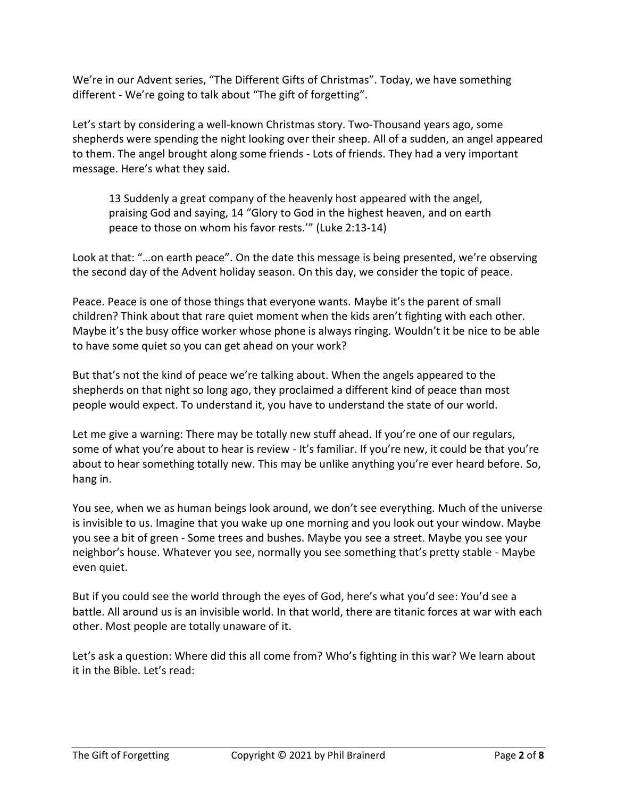We're in our Advent series, "The Different Gifts of Christmas". Today, we have something different - We're going to talk about "The gift of forgetting".

Let's start by considering a well-known Christmas story. Two-Thousand years ago, some shepherds were spending the night looking over their sheep. All of a sudden, an angel appeared to them. The angel brought along some friends - Lots of friends. They had a very important message. Here's what they said.

13 Suddenly a great company of the heavenly host appeared with the angel, praising God and saying, 14 "Glory to God in the highest heaven, and on earth peace to those on whom his favor rests.'" (Luke 2:13-14)

Look at that: "…on earth peace". On the date this message is being presented, we're observing the second day of the Advent holiday season. On this day, we consider the topic of peace.

Peace. Peace is one of those things that everyone wants. Maybe it's the parent of small children? Think about that rare quiet moment when the kids aren't fighting with each other. Maybe it's the busy office worker whose phone is always ringing. Wouldn't it be nice to be able to have some quiet so you can get ahead on your work?

But that's not the kind of peace we're talking about. When the angels appeared to the shepherds on that night so long ago, they proclaimed a different kind of peace than most people would expect. To understand it, you have to understand the state of our world.

Let me give a warning: There may be totally new stuff ahead. If you're one of our regulars, some of what you're about to hear is review - It's familiar. If you're new, it could be that you're about to hear something totally new. This may be unlike anything you're ever heard before. So, hang in.

You see, when we as human beings look around, we don't see everything. Much of the universe is invisible to us. Imagine that you wake up one morning and you look out your window. Maybe you see a bit of green - Some trees and bushes. Maybe you see a street. Maybe you see your neighbor's house. Whatever you see, normally you see something that's pretty stable - Maybe even quiet.

But if you could see the world through the eyes of God, here's what you'd see: You'd see a battle. All around us is an invisible world. In that world, there are titanic forces at war with each other. Most people are totally unaware of it.

Let's ask a question: Where did this all come from? Who's fighting in this war? We learn about it in the Bible. Let's read: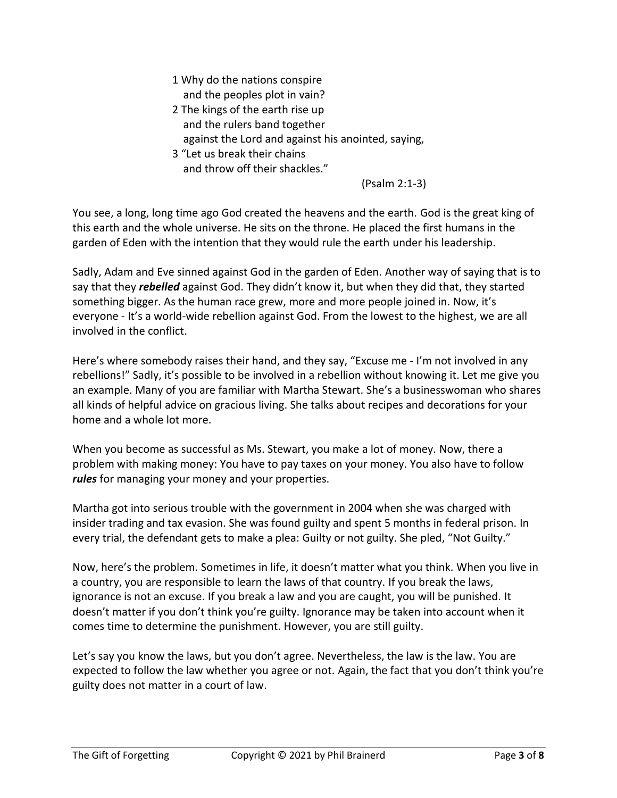- 1 Why do the nations conspire and the peoples plot in vain?
- 2 The kings of the earth rise up and the rulers band together against the Lord and against his anointed, saying,
- 3 "Let us break their chains and throw off their shackles."

(Psalm 2:1-3)

You see, a long, long time ago God created the heavens and the earth. God is the great king of this earth and the whole universe. He sits on the throne. He placed the first humans in the garden of Eden with the intention that they would rule the earth under his leadership.

Sadly, Adam and Eve sinned against God in the garden of Eden. Another way of saying that is to say that they *rebelled* against God. They didn't know it, but when they did that, they started something bigger. As the human race grew, more and more people joined in. Now, it's everyone - It's a world-wide rebellion against God. From the lowest to the highest, we are all involved in the conflict.

Here's where somebody raises their hand, and they say, "Excuse me - I'm not involved in any rebellions!" Sadly, it's possible to be involved in a rebellion without knowing it. Let me give you an example. Many of you are familiar with Martha Stewart. She's a businesswoman who shares all kinds of helpful advice on gracious living. She talks about recipes and decorations for your home and a whole lot more.

When you become as successful as Ms. Stewart, you make a lot of money. Now, there a problem with making money: You have to pay taxes on your money. You also have to follow *rules* for managing your money and your properties.

Martha got into serious trouble with the government in 2004 when she was charged with insider trading and tax evasion. She was found guilty and spent 5 months in federal prison. In every trial, the defendant gets to make a plea: Guilty or not guilty. She pled, "Not Guilty."

Now, here's the problem. Sometimes in life, it doesn't matter what you think. When you live in a country, you are responsible to learn the laws of that country. If you break the laws, ignorance is not an excuse. If you break a law and you are caught, you will be punished. It doesn't matter if you don't think you're guilty. Ignorance may be taken into account when it comes time to determine the punishment. However, you are still guilty.

Let's say you know the laws, but you don't agree. Nevertheless, the law is the law. You are expected to follow the law whether you agree or not. Again, the fact that you don't think you're guilty does not matter in a court of law.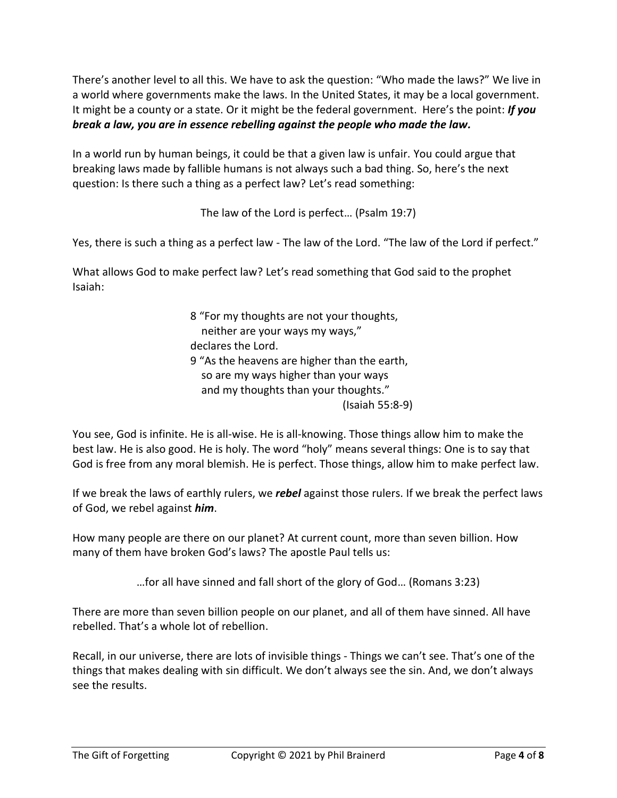There's another level to all this. We have to ask the question: "Who made the laws?" We live in a world where governments make the laws. In the United States, it may be a local government. It might be a county or a state. Or it might be the federal government. Here's the point: *If you break a law, you are in essence rebelling against the people who made the law.*

In a world run by human beings, it could be that a given law is unfair. You could argue that breaking laws made by fallible humans is not always such a bad thing. So, here's the next question: Is there such a thing as a perfect law? Let's read something:

The law of the Lord is perfect… (Psalm 19:7)

Yes, there is such a thing as a perfect law - The law of the Lord. "The law of the Lord if perfect."

What allows God to make perfect law? Let's read something that God said to the prophet Isaiah:

> 8 "For my thoughts are not your thoughts, neither are your ways my ways," declares the Lord. 9 "As the heavens are higher than the earth, so are my ways higher than your ways and my thoughts than your thoughts." (Isaiah 55:8-9)

You see, God is infinite. He is all-wise. He is all-knowing. Those things allow him to make the best law. He is also good. He is holy. The word "holy" means several things: One is to say that God is free from any moral blemish. He is perfect. Those things, allow him to make perfect law.

If we break the laws of earthly rulers, we *rebel* against those rulers. If we break the perfect laws of God, we rebel against *him*.

How many people are there on our planet? At current count, more than seven billion. How many of them have broken God's laws? The apostle Paul tells us:

…for all have sinned and fall short of the glory of God… (Romans 3:23)

There are more than seven billion people on our planet, and all of them have sinned. All have rebelled. That's a whole lot of rebellion.

Recall, in our universe, there are lots of invisible things - Things we can't see. That's one of the things that makes dealing with sin difficult. We don't always see the sin. And, we don't always see the results.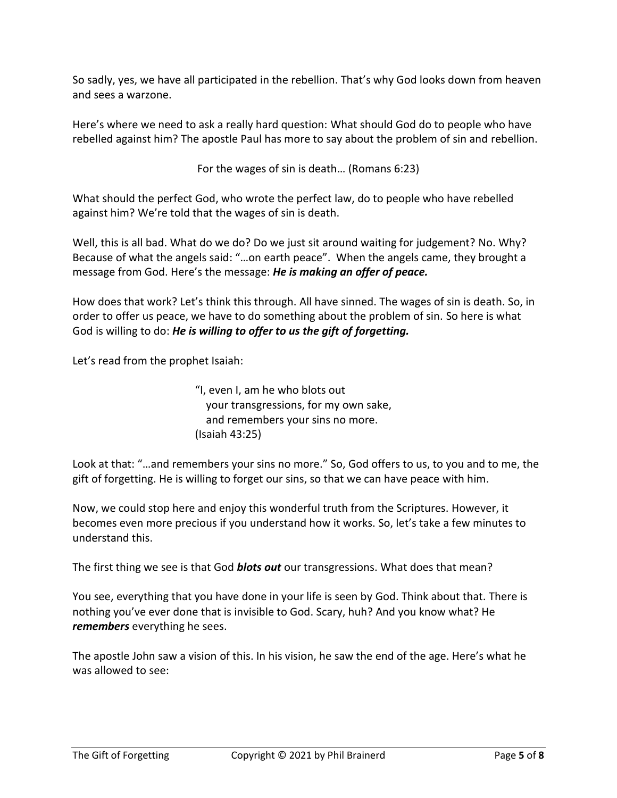So sadly, yes, we have all participated in the rebellion. That's why God looks down from heaven and sees a warzone.

Here's where we need to ask a really hard question: What should God do to people who have rebelled against him? The apostle Paul has more to say about the problem of sin and rebellion.

For the wages of sin is death… (Romans 6:23)

What should the perfect God, who wrote the perfect law, do to people who have rebelled against him? We're told that the wages of sin is death.

Well, this is all bad. What do we do? Do we just sit around waiting for judgement? No. Why? Because of what the angels said: "…on earth peace". When the angels came, they brought a message from God. Here's the message: *He is making an offer of peace.*

How does that work? Let's think this through. All have sinned. The wages of sin is death. So, in order to offer us peace, we have to do something about the problem of sin. So here is what God is willing to do: *He is willing to offer to us the gift of forgetting.*

Let's read from the prophet Isaiah:

"I, even I, am he who blots out your transgressions, for my own sake, and remembers your sins no more. (Isaiah 43:25)

Look at that: "…and remembers your sins no more." So, God offers to us, to you and to me, the gift of forgetting. He is willing to forget our sins, so that we can have peace with him.

Now, we could stop here and enjoy this wonderful truth from the Scriptures. However, it becomes even more precious if you understand how it works. So, let's take a few minutes to understand this.

The first thing we see is that God *blots out* our transgressions. What does that mean?

You see, everything that you have done in your life is seen by God. Think about that. There is nothing you've ever done that is invisible to God. Scary, huh? And you know what? He *remembers* everything he sees.

The apostle John saw a vision of this. In his vision, he saw the end of the age. Here's what he was allowed to see: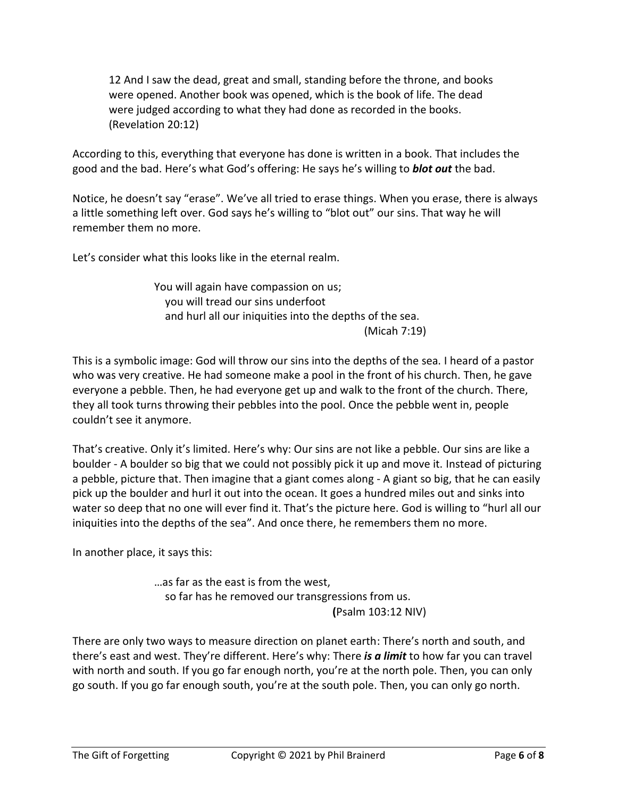12 And I saw the dead, great and small, standing before the throne, and books were opened. Another book was opened, which is the book of life. The dead were judged according to what they had done as recorded in the books. (Revelation 20:12)

According to this, everything that everyone has done is written in a book. That includes the good and the bad. Here's what God's offering: He says he's willing to *blot out* the bad.

Notice, he doesn't say "erase". We've all tried to erase things. When you erase, there is always a little something left over. God says he's willing to "blot out" our sins. That way he will remember them no more.

Let's consider what this looks like in the eternal realm.

You will again have compassion on us; you will tread our sins underfoot and hurl all our iniquities into the depths of the sea. (Micah 7:19)

This is a symbolic image: God will throw our sins into the depths of the sea. I heard of a pastor who was very creative. He had someone make a pool in the front of his church. Then, he gave everyone a pebble. Then, he had everyone get up and walk to the front of the church. There, they all took turns throwing their pebbles into the pool. Once the pebble went in, people couldn't see it anymore.

That's creative. Only it's limited. Here's why: Our sins are not like a pebble. Our sins are like a boulder - A boulder so big that we could not possibly pick it up and move it. Instead of picturing a pebble, picture that. Then imagine that a giant comes along - A giant so big, that he can easily pick up the boulder and hurl it out into the ocean. It goes a hundred miles out and sinks into water so deep that no one will ever find it. That's the picture here. God is willing to "hurl all our iniquities into the depths of the sea". And once there, he remembers them no more.

In another place, it says this:

…as far as the east is from the west, so far has he removed our transgressions from us. **(**Psalm 103:12 NIV)

There are only two ways to measure direction on planet earth: There's north and south, and there's east and west. They're different. Here's why: There *is a limit* to how far you can travel with north and south. If you go far enough north, you're at the north pole. Then, you can only go south. If you go far enough south, you're at the south pole. Then, you can only go north.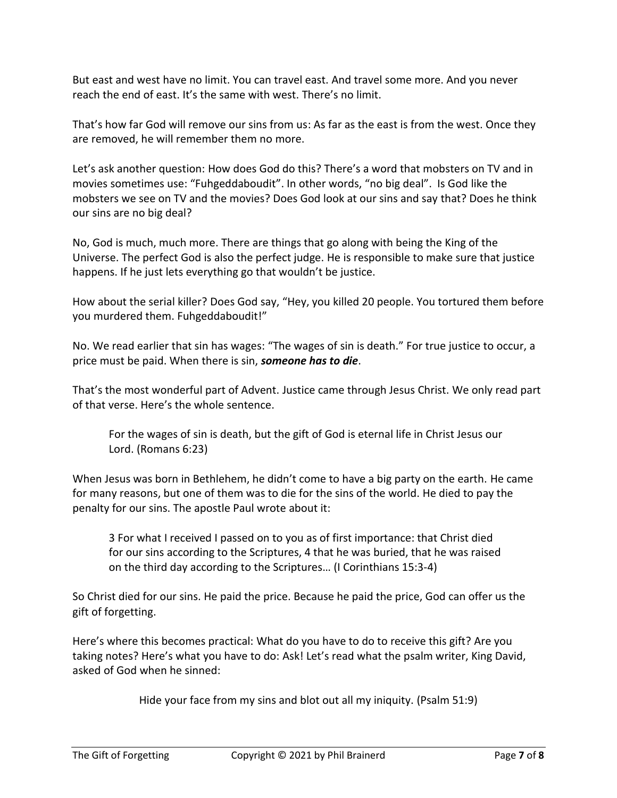But east and west have no limit. You can travel east. And travel some more. And you never reach the end of east. It's the same with west. There's no limit.

That's how far God will remove our sins from us: As far as the east is from the west. Once they are removed, he will remember them no more.

Let's ask another question: How does God do this? There's a word that mobsters on TV and in movies sometimes use: "Fuhgeddaboudit". In other words, "no big deal". Is God like the mobsters we see on TV and the movies? Does God look at our sins and say that? Does he think our sins are no big deal?

No, God is much, much more. There are things that go along with being the King of the Universe. The perfect God is also the perfect judge. He is responsible to make sure that justice happens. If he just lets everything go that wouldn't be justice.

How about the serial killer? Does God say, "Hey, you killed 20 people. You tortured them before you murdered them. Fuhgeddaboudit!"

No. We read earlier that sin has wages: "The wages of sin is death." For true justice to occur, a price must be paid. When there is sin, *someone has to die*.

That's the most wonderful part of Advent. Justice came through Jesus Christ. We only read part of that verse. Here's the whole sentence.

For the wages of sin is death, but the gift of God is eternal life in Christ Jesus our Lord. (Romans 6:23)

When Jesus was born in Bethlehem, he didn't come to have a big party on the earth. He came for many reasons, but one of them was to die for the sins of the world. He died to pay the penalty for our sins. The apostle Paul wrote about it:

3 For what I received I passed on to you as of first importance: that Christ died for our sins according to the Scriptures, 4 that he was buried, that he was raised on the third day according to the Scriptures… (I Corinthians 15:3-4)

So Christ died for our sins. He paid the price. Because he paid the price, God can offer us the gift of forgetting.

Here's where this becomes practical: What do you have to do to receive this gift? Are you taking notes? Here's what you have to do: Ask! Let's read what the psalm writer, King David, asked of God when he sinned:

Hide your face from my sins and blot out all my iniquity. (Psalm 51:9)